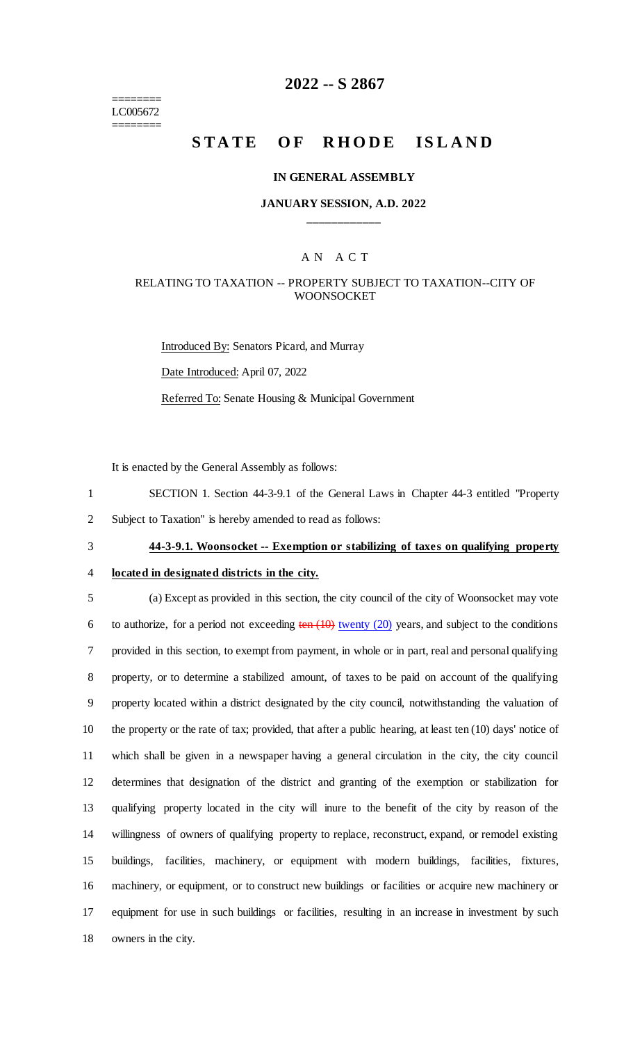======== LC005672 ========

# **2022 -- S 2867**

# **STATE OF RHODE ISLAND**

#### **IN GENERAL ASSEMBLY**

### **JANUARY SESSION, A.D. 2022 \_\_\_\_\_\_\_\_\_\_\_\_**

# A N A C T

### RELATING TO TAXATION -- PROPERTY SUBJECT TO TAXATION--CITY OF **WOONSOCKET**

Introduced By: Senators Picard, and Murray Date Introduced: April 07, 2022 Referred To: Senate Housing & Municipal Government

It is enacted by the General Assembly as follows:

1 SECTION 1. Section 44-3-9.1 of the General Laws in Chapter 44-3 entitled "Property 2 Subject to Taxation" is hereby amended to read as follows:

3 **44-3-9.1. Woonsocket -- Exemption or stabilizing of taxes on qualifying property** 

### 4 **located in designated districts in the city.**

 (a) Except as provided in this section, the city council of the city of Woonsocket may vote 6 to authorize, for a period not exceeding  $\frac{\tan(10)}{\tan(10)}$  twenty (20) years, and subject to the conditions provided in this section, to exempt from payment, in whole or in part, real and personal qualifying property, or to determine a stabilized amount, of taxes to be paid on account of the qualifying property located within a district designated by the city council, notwithstanding the valuation of the property or the rate of tax; provided, that after a public hearing, at least ten (10) days' notice of which shall be given in a newspaper having a general circulation in the city, the city council determines that designation of the district and granting of the exemption or stabilization for qualifying property located in the city will inure to the benefit of the city by reason of the willingness of owners of qualifying property to replace, reconstruct, expand, or remodel existing buildings, facilities, machinery, or equipment with modern buildings, facilities, fixtures, machinery, or equipment, or to construct new buildings or facilities or acquire new machinery or equipment for use in such buildings or facilities, resulting in an increase in investment by such owners in the city.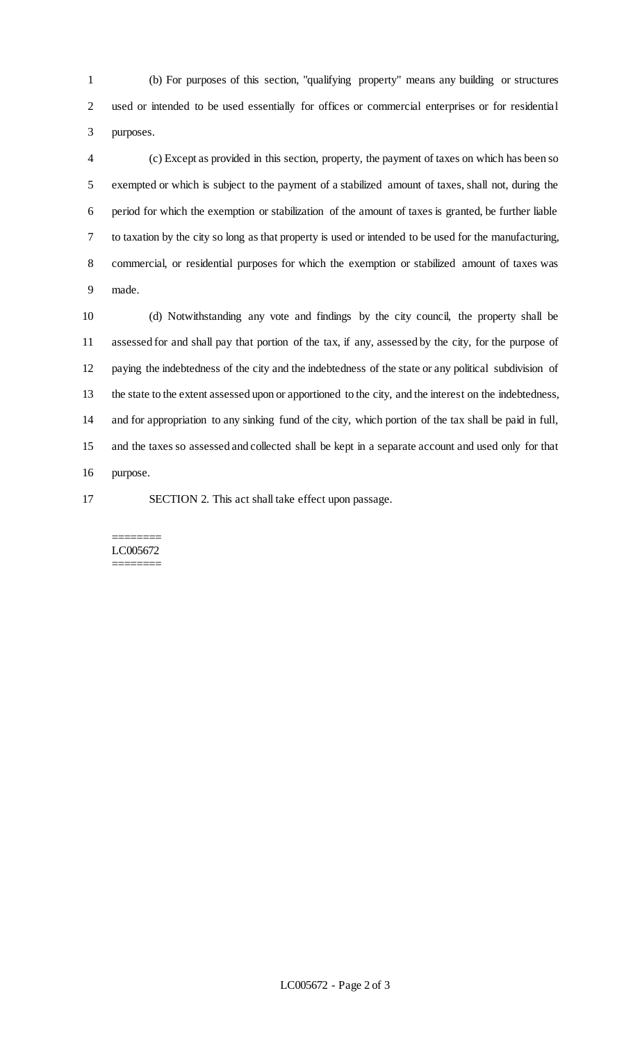(b) For purposes of this section, "qualifying property" means any building or structures used or intended to be used essentially for offices or commercial enterprises or for residential purposes.

 (c) Except as provided in this section, property, the payment of taxes on which has been so exempted or which is subject to the payment of a stabilized amount of taxes, shall not, during the period for which the exemption or stabilization of the amount of taxes is granted, be further liable to taxation by the city so long as that property is used or intended to be used for the manufacturing, commercial, or residential purposes for which the exemption or stabilized amount of taxes was made.

 (d) Notwithstanding any vote and findings by the city council, the property shall be assessed for and shall pay that portion of the tax, if any, assessed by the city, for the purpose of paying the indebtedness of the city and the indebtedness of the state or any political subdivision of the state to the extent assessed upon or apportioned to the city, and the interest on the indebtedness, and for appropriation to any sinking fund of the city, which portion of the tax shall be paid in full, and the taxes so assessed and collected shall be kept in a separate account and used only for that purpose.

SECTION 2. This act shall take effect upon passage.

#### ======== LC005672 ========